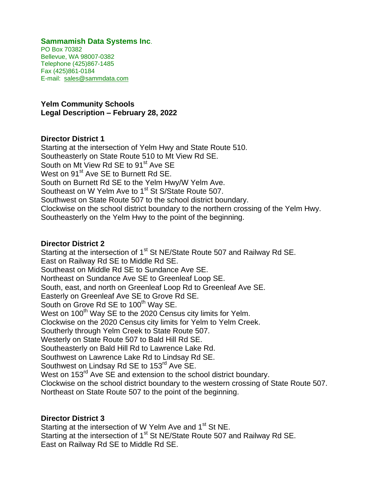#### **Sammamish Data Systems Inc**.

PO Box 70382 Bellevue, WA 98007-0382 Telephone (425)867-1485 Fax (425)861-0184 E-mail: sales@sammdata.com

**Yelm Community Schools Legal Description – February 28, 2022**

#### **Director District 1**

Starting at the intersection of Yelm Hwy and State Route 510. Southeasterly on State Route 510 to Mt View Rd SE. South on Mt View Rd SE to 91<sup>st</sup> Ave SE West on 91<sup>st</sup> Ave SE to Burnett Rd SE. South on Burnett Rd SE to the Yelm Hwy/W Yelm Ave. Southeast on W Yelm Ave to 1<sup>st</sup> St S/State Route 507. Southwest on State Route 507 to the school district boundary. Clockwise on the school district boundary to the northern crossing of the Yelm Hwy. Southeasterly on the Yelm Hwy to the point of the beginning.

#### **Director District 2**

Starting at the intersection of 1<sup>st</sup> St NE/State Route 507 and Railway Rd SE. East on Railway Rd SE to Middle Rd SE. Southeast on Middle Rd SE to Sundance Ave SE. Northeast on Sundance Ave SE to Greenleaf Loop SE. South, east, and north on Greenleaf Loop Rd to Greenleaf Ave SE. Easterly on Greenleaf Ave SE to Grove Rd SE. South on Grove Rd SE to 100<sup>th</sup> Way SE. West on 100<sup>th</sup> Way SE to the 2020 Census city limits for Yelm. Clockwise on the 2020 Census city limits for Yelm to Yelm Creek. Southerly through Yelm Creek to State Route 507. Westerly on State Route 507 to Bald Hill Rd SE. Southeasterly on Bald Hill Rd to Lawrence Lake Rd. Southwest on Lawrence Lake Rd to Lindsay Rd SE. Southwest on Lindsay Rd SE to 153<sup>rd</sup> Ave SE. West on 153<sup>rd</sup> Ave SE and extension to the school district boundary. Clockwise on the school district boundary to the western crossing of State Route 507. Northeast on State Route 507 to the point of the beginning.

# **Director District 3**

Starting at the intersection of W Yelm Ave and 1<sup>st</sup> St NE. Starting at the intersection of 1<sup>st</sup> St NE/State Route 507 and Railway Rd SE. East on Railway Rd SE to Middle Rd SE.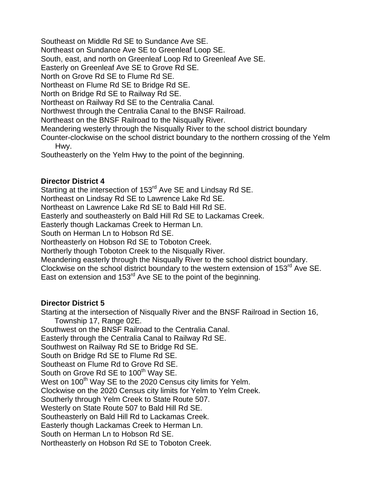Southeast on Middle Rd SE to Sundance Ave SE.

Northeast on Sundance Ave SE to Greenleaf Loop SE.

South, east, and north on Greenleaf Loop Rd to Greenleaf Ave SE.

Easterly on Greenleaf Ave SE to Grove Rd SE.

North on Grove Rd SE to Flume Rd SE.

Northeast on Flume Rd SE to Bridge Rd SE.

North on Bridge Rd SE to Railway Rd SE.

Northeast on Railway Rd SE to the Centralia Canal.

Northwest through the Centralia Canal to the BNSF Railroad.

Northeast on the BNSF Railroad to the Nisqually River.

Meandering westerly through the Nisqually River to the school district boundary

Counter-clockwise on the school district boundary to the northern crossing of the Yelm Hwy.

Southeasterly on the Yelm Hwy to the point of the beginning.

# **Director District 4**

Starting at the intersection of 153<sup>rd</sup> Ave SE and Lindsay Rd SE.

Northeast on Lindsay Rd SE to Lawrence Lake Rd SE.

Northeast on Lawrence Lake Rd SE to Bald Hill Rd SE.

Easterly and southeasterly on Bald Hill Rd SE to Lackamas Creek.

Easterly though Lackamas Creek to Herman Ln.

South on Herman Ln to Hobson Rd SE.

Northeasterly on Hobson Rd SE to Toboton Creek.

Northerly though Toboton Creek to the Nisqually River.

Meandering easterly through the Nisqually River to the school district boundary.

Clockwise on the school district boundary to the western extension of 153<sup>rd</sup> Ave SE. East on extension and 153<sup>rd</sup> Ave SE to the point of the beginning.

# **Director District 5**

Starting at the intersection of Nisqually River and the BNSF Railroad in Section 16, Township 17, Range 02E.

Southwest on the BNSF Railroad to the Centralia Canal.

Easterly through the Centralia Canal to Railway Rd SE.

Southwest on Railway Rd SE to Bridge Rd SE.

South on Bridge Rd SE to Flume Rd SE.

Southeast on Flume Rd to Grove Rd SE.

South on Grove Rd SE to 100<sup>th</sup> Way SE.

West on 100<sup>th</sup> Way SE to the 2020 Census city limits for Yelm.

Clockwise on the 2020 Census city limits for Yelm to Yelm Creek.

Southerly through Yelm Creek to State Route 507.

Westerly on State Route 507 to Bald Hill Rd SE.

Southeasterly on Bald Hill Rd to Lackamas Creek.

Easterly though Lackamas Creek to Herman Ln.

South on Herman Ln to Hobson Rd SE.

Northeasterly on Hobson Rd SE to Toboton Creek.